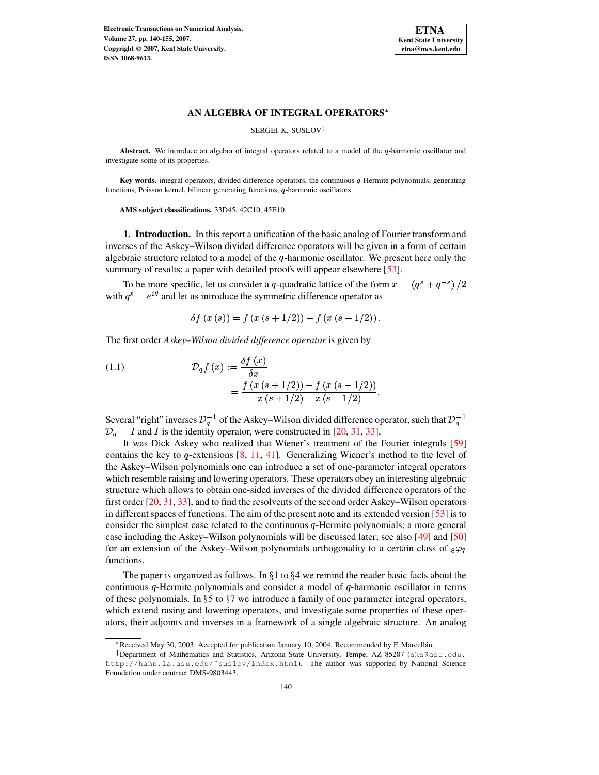

#### SERGEI K. SUSLOV

Abstract. We introduce an algebra of integral operators related to a model of the q-harmonic oscillator and investigate some of its properties.

Key words. integral operators, divided difference operators, the continuous q-Hermite polynomials, generating functions, Poisson kernel, bilinear generating functions,  $q$ -harmonic oscillators

**AMS subject classifications.** 33D45, 42C10, 45E10

**1. Introduction.** In this report a unification of the basic analog of Fourier transform and inverses of the Askey–Wilson divided difference operators will be given in a form of certain algebraic structure related to a model of the  $q$ -harmonic oscillator. We present here only the summary of results; a paper with detailed proofs will appear elsewhere [\[53\]](#page-15-0).

To be more specific, let us consider a q-quadratic lattice of the form  $x = (q^s + q^{-s})/2$ with  $q^s = e^{i\theta}$  and let us introduce the symmetric difference operator as

$$
\delta f(x(s)) = f(x(s+1/2)) - f(x(s-1/2)).
$$

The first order *Askey–Wilson divided difference operator* is given by

<span id="page-0-0"></span>(1.1) 
$$
\mathcal{D}_q f(x) := \frac{\delta f(x)}{\delta x} \n= \frac{f(x(s+1/2)) - f(x(s-1/2))}{x(s+1/2) - x(s-1/2)}.
$$

Several "right" inverses  $\mathcal{D}_{a}^{-1}$  of the Askey–Wilson divided difference operator, such that  $\mathcal{D}_{a}^{-1}$  $D_q = I$  and I is the identity operator, were constructed in [\[20,](#page-14-0) [31,](#page-15-1) [33\]](#page-15-2),

It was Dick Askey who realized that Wiener's treatment of the Fourier integrals [\[59\]](#page-15-3) contains the key to q-extensions  $[8, 11, 41]$  $[8, 11, 41]$  $[8, 11, 41]$  $[8, 11, 41]$  $[8, 11, 41]$ . Generalizing Wiener's method to the level of the Askey–Wilson polynomials one can introduce a set of one-parameter integral operators which resemble raising and lowering operators. These operators obey an interesting algebraic structure which allows to obtain one-sided inverses of the divided difference operators of the first order [\[20,](#page-14-0) [31,](#page-15-1) [33\]](#page-15-2), and to find the resolvents of the second order Askey–Wilson operators in different spaces of functions. The aim of the present note and its extended version  $\lceil 53 \rceil$  is to consider the simplest case related to the continuous  $q$ -Hermite polynomials; a more general case including the Askey–Wilson polynomials will be discussed later; see also [\[49\]](#page-15-5) and [\[50\]](#page-15-6) for an extension of the Askey–Wilson polynomials orthogonality to a certain class of  $8\varphi_7$ functions.

The paper is organized as follows. In  $\S 1$  to  $\S 4$  we remind the reader basic facts about the continuous  $q$ -Hermite polynomials and consider a model of  $q$ -harmonic oscillator in terms of these polynomials. In  $\S 5$  to  $\S 7$  we introduce a family of one parameter integral operators, which extend rasing and lowering operators, and investigate some properties of these operators, their adjoints and inverses in a framework of a single algebraic structure. An analog

<sup>\*</sup> Received May 30, 2003. Accepted for publication January 10, 2004. Recommended by F. Marcellán.

Department of Mathematics and Statistics, Arizona State University, Tempe, AZ 85287 (sks@asu.edu, http://hahn.la.asu.edu/~suslov/index.html). The author was supported by National Science Foundation under contract DMS-9803443.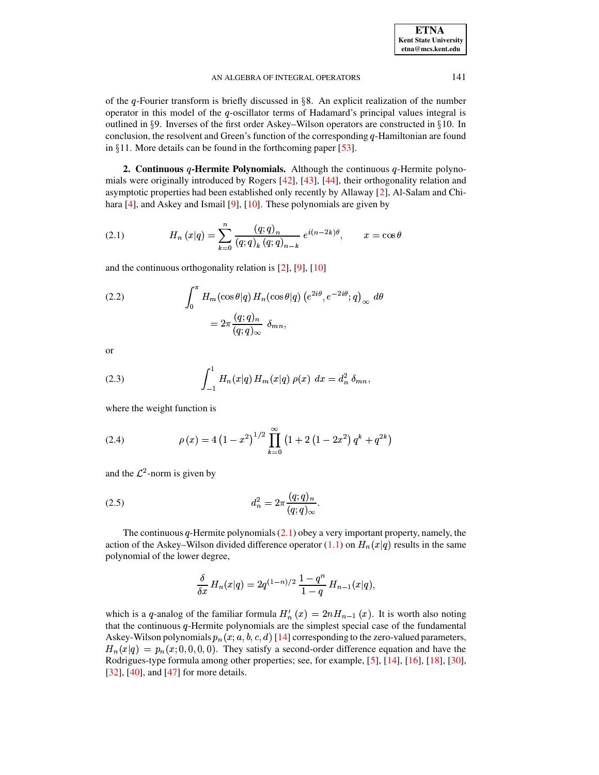of the  $q$ -Fourier transform is briefly discussed in §8. An explicit realization of the number operator in this model of the  $q$ -oscillator terms of Hadamard's principal values integral is outlined in  $\S$ 9. Inverses of the first order Askey–Wilson operators are constructed in  $\S$ 10. In conclusion, the resolvent and Green's function of the corresponding  $q$ -Hamiltonian are found in  $\S 11$ . More details can be found in the forthcoming paper [\[53\]](#page-15-0).

**2. Continuous**  $q$ -Hermite Polynomials. Although the continuous  $q$ -Hermite polynomials were originally introduced by Rogers [\[42\]](#page-15-7), [\[43\]](#page-15-8), [\[44\]](#page-15-9), their orthogonality relation and asymptotic properties had been established only recently by Allaway [\[2\]](#page-14-3), Al-Salam and Chihara [\[4\]](#page-14-4), and Askey and Ismail [\[9\]](#page-14-5), [\[10\]](#page-14-6). These polynomials are given by

(2.1) 
$$
H_n(x|q) = \sum_{k=0}^n \frac{(q;q)_n}{(q;q)_k (q;q)_{n-k}} e^{i(n-2k)\theta}, \qquad x = \cos \theta
$$

and the continuous orthogonality relation is [\[2\]](#page-14-3), [\[9\]](#page-14-5), [\[10\]](#page-14-6)

<span id="page-1-3"></span>(2.2) 
$$
\int_0^{\pi} H_m(\cos \theta | q) H_n(\cos \theta | q) (e^{2i\theta}, e^{-2i\theta}; q)_{\infty} d\theta
$$

$$
= 2\pi \frac{(q; q)_n}{(q; q)_{\infty}} \delta_{mn},
$$

or

(2.3) 
$$
\int_{-1}^{1} H_n(x|q) H_m(x|q) \rho(x) dx = d_n^2 \delta_{mn},
$$

<span id="page-1-2"></span>where the weight function is

(2.4) 
$$
\rho(x) = 4(1-x^2)^{1/2} \prod_{k=0}^{\infty} (1+2(1-2x^2) q^k + q^{2k})
$$

<span id="page-1-1"></span>and the  $\mathcal{L}^2$ -norm is given by

(2.5) 
$$
d_n^2 = 2\pi \frac{(q;q)_n}{(q;q)_\infty}.
$$

The continuous  $q$ -Hermite polynomials [\(2.1\)](#page-1-0) obey a very important property, namely, the action of the Askey–Wilson divided difference operator  $(1.1)$  on  $H_n(x|q)$  results in the same polynomial of the lower degree,

$$
\frac{\delta}{\delta x}\,H_n(x|q) = 2q^{(1-n)/2}\,\frac{1-q^n}{1-q}\,H_{n-1}(x|q),
$$

which is a q-analog of the familiar formula  $H'_n(x) = 2nH_{n-1}(x)$ . It is worth also noting that the continuous  $q$ -Hermite polynomials are the simplest special case of the fundamental Askey-Wilson polynomials  $p_n(x;a,b,c,d)$  [\[14\]](#page-14-7) corresponding to the zero-valued parameters,  $H_n(x|q) = p_n(x; 0, 0, 0, 0)$ . They satisfy a second-order difference equation and have the Rodrigues-type formula among other properties; see, for example, [\[5\]](#page-14-8), [\[14\]](#page-14-7), [\[16\]](#page-14-9), [\[18\]](#page-14-10), [\[30\]](#page-15-10),  $[32]$ ,  $[40]$ , and  $[47]$  for more details.

<span id="page-1-0"></span>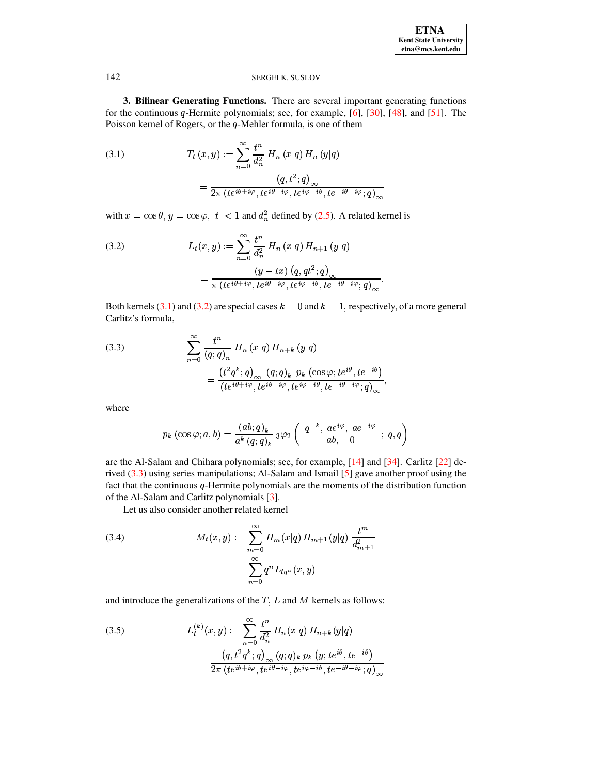**3. Bilinear Generating Functions.** There are several important generating functions for the continuous  $q$ -Hermite polynomials; see, for example, [\[6\]](#page-14-11), [\[30\]](#page-15-10), [\[48\]](#page-15-14), and [\[51\]](#page-15-15). The Poisson kernel of Rogers, or the  $q$ -Mehler formula, is one of them

<span id="page-2-0"></span>(3.1) 
$$
T_t(x,y) := \sum_{n=0}^{\infty} \frac{t^n}{d_n^2} H_n(x|q) H_n(y|q)
$$

$$
= \frac{\left(q, t^2; q\right)_{\infty}}{2\pi \left(te^{i\theta + i\varphi}, te^{i\theta - i\varphi}, te^{i\varphi - i\theta}, te^{-i\theta - i\varphi};q)_{\infty}}
$$

with  $x=\cos\theta, y=\cos\varphi, |t| < 1$  and  $d_n^2$  defined by [\(2.5\)](#page-1-1). A related kernel is

<span id="page-2-1"></span>(3.2) 
$$
L_t(x,y) := \sum_{n=0}^{\infty} \frac{t^n}{d_n^2} H_n(x|q) H_{n+1}(y|q)
$$

$$
= \frac{(y-tx) (q, qt^2;q)_{\infty}}{\pi (te^{i\theta+i\varphi}, te^{i\theta-i\varphi}, te^{i\varphi-i\theta}, te^{-i\theta-i\varphi};q)_{\infty}}.
$$

Both kernels [\(3.1\)](#page-2-0) and [\(3.2\)](#page-2-1) are special cases  $k = 0$  and  $k = 1$ , respectively, of a more general Carlitz's formula,

<span id="page-2-2"></span>(3.3) 
$$
\sum_{n=0}^{\infty} \frac{t^n}{(q;q)_n} H_n(x|q) H_{n+k}(y|q)
$$

$$
= \frac{\left(t^2 q^k; q\right)_{\infty} (q;q)_k p_k \left(\cos \varphi; t e^{i\theta}, t e^{-i\theta}\right)}{\left(t e^{i\theta + i\varphi}, t e^{i\theta - i\varphi}, t e^{i\varphi - i\theta}, t e^{-i\theta - i\varphi}; q\right)_{\infty}},
$$

where

$$
p_k \left( \cos \varphi ; a, b \right) = \frac{(a b; q)_k}{a^k \left( q; q \right)_k} \, {}_3\varphi_2 \left( \begin{array}{c} q^{-k}, \, a e^{i \varphi}, \, a e^{-i \varphi} \\ a b, \quad 0 \end{array} ; \, q, q \right)
$$

are the Al-Salam and Chihara polynomials; see, for example, [\[14\]](#page-14-7) and [\[34\]](#page-15-16). Carlitz [\[22\]](#page-14-12) derived [\(3.3\)](#page-2-2) using series manipulations; Al-Salam and Ismail [\[5\]](#page-14-8) gave another proof using the fact that the continuous  $q$ -Hermite polynomials are the moments of the distribution function of the Al-Salam and Carlitz polynomials [\[3\]](#page-14-13).

Let us also consider another related kernel

<span id="page-2-3"></span>(3.4) 
$$
M_t(x,y) := \sum_{m=0}^{\infty} H_m(x|q) H_{m+1}(y|q) \frac{t^m}{d_{m+1}^2}
$$

$$
= \sum_{n=0}^{\infty} q^n L_{tq^n}(x,y)
$$

and introduce the generalizations of the  $T, L$  and  $M$  kernels as follows:

(3.5) 
$$
L_t^{(k)}(x,y) := \sum_{n=0}^{\infty} \frac{t^n}{d_n^2} H_n(x|q) H_{n+k}(y|q)
$$

$$
= \frac{\left(q, t^2 q^k; q\right)_{\infty} (q;q)_k p_k \left(y; t e^{i\theta}, t e^{-i\theta}\right)}{2\pi \left(t e^{i\theta + i\varphi}, t e^{i\theta - i\varphi}, t e^{i\varphi - i\theta}, t e^{-i\theta - i\varphi}; q\right)_{\infty}}
$$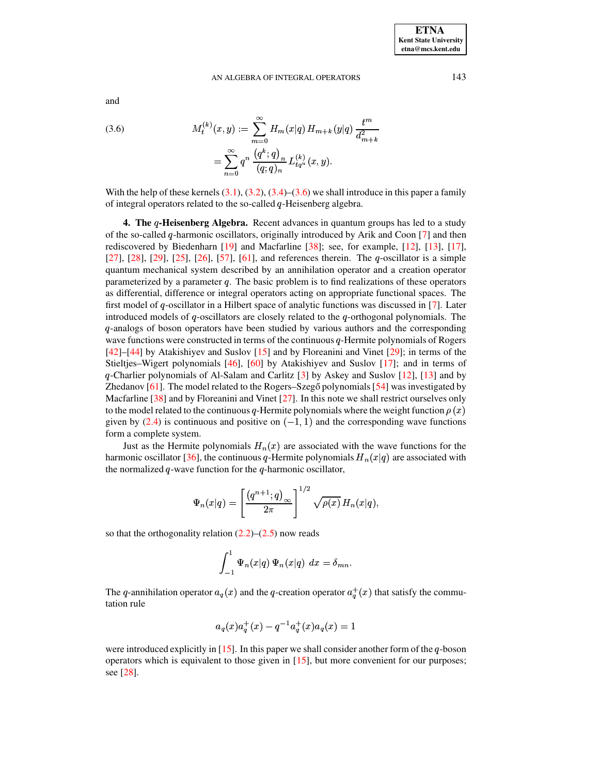and

<span id="page-3-0"></span>(3.6) 
$$
M_t^{(k)}(x,y) := \sum_{m=0}^{\infty} H_m(x|q) H_{m+k}(y|q) \frac{t^m}{d_{m+k}^2}
$$

$$
= \sum_{n=0}^{\infty} q^n \frac{(q^k;q)_n}{(q;q)_n} L_{tq^n}^{(k)}(x,y).
$$

With the help of these kernels  $(3.1)$ ,  $(3.2)$ ,  $(3.4)$ – $(3.6)$  we shall introduce in this paper a family of integral operators related to the so-called  $q$ -Heisenberg algebra.

**4.** The *q*-Heisenberg Algebra. Recent advances in quantum groups has led to a study of the so-called  $q$ -harmonic oscillators, originally introduced by Arik and Coon [\[7\]](#page-14-14) and then rediscovered by Biedenharn [\[19\]](#page-14-15) and Macfarline [\[38\]](#page-15-17); see, for example, [\[12\]](#page-14-16), [\[13\]](#page-14-17), [\[17\]](#page-14-18),  $[27]$ ,  $[28]$ ,  $[29]$ ,  $[25]$ ,  $[26]$ ,  $[57]$ ,  $[61]$ , and references therein. The  $q$ -oscillator is a simple quantum mechanical system described by an annihilation operator and a creation operator parameterized by a parameter  $q$ . The basic problem is to find realizations of these operators as differential, difference or integral operators acting on appropriate functional spaces. The first model of  $q$ -oscillator in a Hilbert space of analytic functions was discussed in [\[7\]](#page-14-14). Later introduced models of  $q$ -oscillators are closely related to the  $q$ -orthogonal polynomials. The -analogs of boson operators have been studied by various authors and the corresponding wave functions were constructed in terms of the continuous  $q$ -Hermite polynomials of Rogers [\[42\]](#page-15-7)–[\[44\]](#page-15-9) by Atakishiyev and Suslov [\[15\]](#page-14-23) and by Floreanini and Vinet [\[29\]](#page-15-18); in terms of the Stieltjes–Wigert polynomials [\[46\]](#page-15-21), [\[60\]](#page-15-22) by Atakishiyev and Suslov [\[17\]](#page-14-18); and in terms of  $q$ -Charlier polynomials of Al-Salam and Carlitz  $[3]$  by Askey and Suslov  $[12]$ ,  $[13]$  and by Zhedanov  $[61]$ . The model related to the Rogers–Szegő polynomials [\[54\]](#page-15-23) was investigated by Macfarline [\[38\]](#page-15-17) and by Floreanini and Vinet [\[27\]](#page-14-19). In this note we shall restrict ourselves only to the model related to the continuous q-Hermite polynomials where the weight function  $\rho(x)$ given by [\(2.4\)](#page-1-2) is continuous and positive on  $(-1, 1)$  and the corresponding wave functions form a complete system.

Just as the Hermite polynomials  $H_n(x)$  are associated with the wave functions for the harmonic oscillator [\[36\]](#page-15-24), the continuous q-Hermite polynomials  $H_n(x|q)$  are associated with the normalized  $q$ -wave function for the  $q$ -harmonic oscillator,

$$
\Psi_n(x|q) = \left[\frac{(q^{n+1};q)_{\infty}}{2\pi}\right]^{1/2} \sqrt{\rho(x)} H_n(x|q),
$$

so that the orthogonality relation  $(2.2)$ – $(2.5)$  now reads

$$
\int_{-1}^1 \Psi_n(x|q) \Psi_n(x|q) dx = \delta_{mn}.
$$

The q-annihilation operator  $a_q(x)$  and the q-creation operator  $a_q^+(x)$  that satisfy the commutation rule

$$
a_q(x)a_q^+(x)-q^{-1}a_q^+(x)a_q(x)=1\\
$$

were introduced explicitly in  $[15]$ . In this paper we shall consider another form of the  $q$ -boson operators which is equivalent to those given in [\[15\]](#page-14-23), but more convenient for our purposes; see [\[28\]](#page-14-20).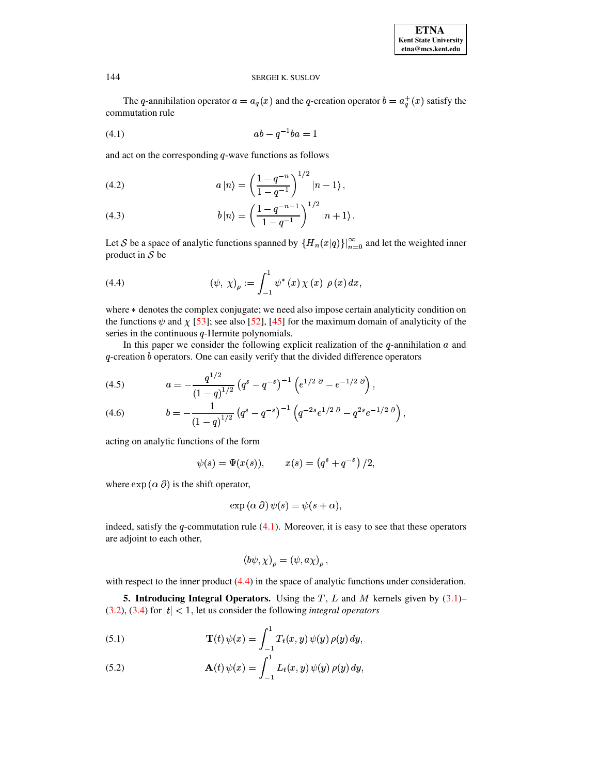<span id="page-4-0"></span>The q-annihilation operator  $a = a_q(x)$  and the q-creation operator  $b = a_q^+(x)$  satisfy the commutation rule

$$
(4.1) \t\t ab - q^{-1}ba = 1
$$

and act on the corresponding  $q$ -wave functions as follows

<span id="page-4-5"></span>(4.2) 
$$
a |n\rangle = \left(\frac{1 - q^{-n}}{1 - q^{-1}}\right)^{1/2} |n - 1\rangle,
$$

<span id="page-4-6"></span>(4.3) 
$$
b|n\rangle = \left(\frac{1-q^{-n-1}}{1-q^{-1}}\right)^{1/2} |n+1\rangle.
$$

<span id="page-4-1"></span>Let S be a space of analytic functions spanned by  ${H_n(x|q)}_{n=0}^{\infty}$  and let the weighted inner product in  $S$  be

(4.4) 
$$
(\psi, \chi)_{\rho} := \int_{-1}^{1} \psi^* (x) \chi (x) \rho (x) dx,
$$

where  $*$  denotes the complex conjugate; we need also impose certain analyticity condition on the functions  $\psi$  and  $\chi$  [\[53\]](#page-15-0); see also [\[52\]](#page-15-25), [\[45\]](#page-15-26) for the maximum domain of analyticity of the series in the continuous  $q$ -Hermite polynomials.

In this paper we consider the following explicit realization of the  $q$ -annihilation  $\alpha$  and  $q$ -creation  $b$  operators. One can easily verify that the divided difference operators

<span id="page-4-3"></span>(4.5) 
$$
a = -\frac{q^{1/2}}{(1-q)^{1/2}} \left( q^s - q^{-s} \right)^{-1} \left( e^{1/2 \theta} - e^{-1/2 \theta} \right),
$$

<span id="page-4-4"></span>(4.6) 
$$
b = -\frac{1}{(1-q)^{1/2}} \left( q^s - q^{-s} \right)^{-1} \left( q^{-2s} e^{1/2 \theta} - q^{2s} e^{-1/2 \theta} \right),
$$

acting on analytic functions of the form

 $\psi(s) = \Psi(x(s)), \qquad x(s) = (q^s + q^{-s})/2,$ 

where  $\exp(\alpha \, \partial)$  is the shift operator,

$$
\exp{(\alpha \partial)} \psi(s) = \psi(s + \alpha),
$$

indeed, satisfy the  $q$ -commutation rule [\(4.1\)](#page-4-0). Moreover, it is easy to see that these operators are adjoint to each other,

$$
\left(b\psi,\chi\right)_\rho = \left(\psi,a\chi\right)_\rho,
$$

with respect to the inner product  $(4.4)$  in the space of analytic functions under consideration.

**5. Introducing Integral Operators.** Using the T, L and M kernels given by  $(3.1)$ –  $(3.2)$ ,  $(3.4)$  for  $|t| < 1$ , let us consider the following *integral operators* 

<span id="page-4-2"></span>(5.1) 
$$
\mathbf{T}(t) \psi(x) = \int_{-1}^{1} T_t(x, y) \psi(y) \rho(y) dy,
$$

(5.2) 
$$
\mathbf{A}(t) \psi(x) = \int_{-1}^{1} L_t(x, y) \psi(y) \, \rho(y) \, dy,
$$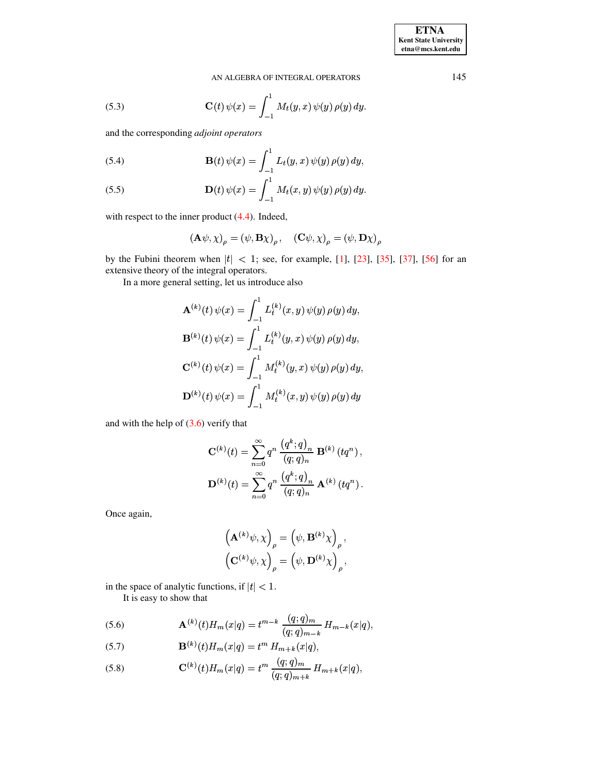(5.3) 
$$
\mathbf{C}(t) \psi(x) = \int_{-1}^{1} M_t(y, x) \psi(y) \, \rho(y) \, dy.
$$

and the corresponding adjoint operators

(5.4) 
$$
\mathbf{B}(t) \psi(x) = \int_{-1}^{1} L_t(y, x) \psi(y) \rho(y) dy,
$$

<span id="page-5-1"></span>(5.5) 
$$
\mathbf{D}(t) \psi(x) = \int_{-1}^{1} M_t(x, y) \psi(y) \rho(y) dy.
$$

with respect to the inner product  $(4.4)$ . Indeed,

$$
(\mathbf{A}\psi, \chi)_{\rho} = (\psi, \mathbf{B}\chi)_{\rho}, \quad (\mathbf{C}\psi, \chi)_{\rho} = (\psi, \mathbf{D}\chi)_{\rho}
$$

by the Fubini theorem when  $|t|$  < 1; see, for example, [1], [23], [35], [37], [56] for an extensive theory of the integral operators.

In a more general setting, let us introduce also

$$
\mathbf{A}^{(k)}(t) \psi(x) = \int_{-1}^{1} L_t^{(k)}(x, y) \psi(y) \rho(y) dy,
$$
  

$$
\mathbf{B}^{(k)}(t) \psi(x) = \int_{-1}^{1} L_t^{(k)}(y, x) \psi(y) \rho(y) dy,
$$
  

$$
\mathbf{C}^{(k)}(t) \psi(x) = \int_{-1}^{1} M_t^{(k)}(y, x) \psi(y) \rho(y) dy,
$$
  

$$
\mathbf{D}^{(k)}(t) \psi(x) = \int_{-1}^{1} M_t^{(k)}(x, y) \psi(y) \rho(y) dy
$$

and with the help of  $(3.6)$  verify that

$$
\mathbf{C}^{(k)}(t) = \sum_{n=0}^{\infty} q^n \, \frac{(q^k; q)_n}{(q; q)_n} \, \mathbf{B}^{(k)}(tq^n) \,,
$$

$$
\mathbf{D}^{(k)}(t) = \sum_{n=0}^{\infty} q^n \, \frac{(q^k; q)_n}{(q; q)_n} \, \mathbf{A}^{(k)}(tq^n) \,.
$$

Once again,

$$
\left(\mathbf{A}^{(k)}\psi,\chi\right)_{\rho} = \left(\psi,\mathbf{B}^{(k)}\chi\right)_{\rho},
$$

$$
\left(\mathbf{C}^{(k)}\psi,\chi\right)_{\rho} = \left(\psi,\mathbf{D}^{(k)}\chi\right)_{\rho},
$$

in the space of analytic functions, if  $|t| < 1$ .

It is easy to show that

<span id="page-5-0"></span>(5.6) 
$$
\mathbf{A}^{(k)}(t)H_m(x|q) = t^{m-k} \frac{(q;q)_m}{(q;q)_{m-k}} H_{m-k}(x|q),
$$

(5.7) 
$$
\mathbf{B}^{(k)}(t)H_m(x|q) = t^m H_{m+k}(x|q)
$$

(5.8) 
$$
\mathbf{C}^{(k)}(t)H_m(x|q) = t^m \frac{(q;q)_m}{(q;q)_{m+k}} H_{m+k}(x|q),
$$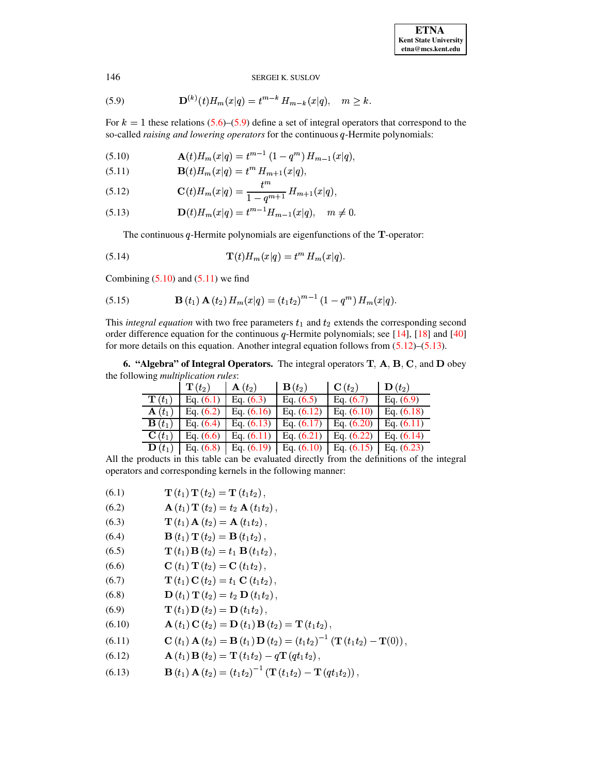<span id="page-6-0"></span>(5.9) 
$$
\mathbf{D}^{(k)}(t)H_m(x|q) = t^{m-k} H_{m-k}(x|q), \quad m \ge k.
$$

For  $k = 1$  these relations [\(5.6\)](#page-5-0)–[\(5.9\)](#page-6-0) define a set of integral operators that correspond to the so-called *raising and lowering operators* for the continuous q-Hermite polynomials:

<span id="page-6-1"></span>(5.10) 
$$
\mathbf{A}(t)H_m(x|q) = t^{m-1} (1 - q^m) H_{m-1}(x|q),
$$
  
(5.11) 
$$
\mathbf{B}(t)H_{m}(x|q) = t^m H_{m-1}(x|q).
$$

<span id="page-6-2"></span>(5.11) 
$$
\mathbf{B}(t)H_m(x|q) = t^m H_{m+1}(x|q),
$$

$$
t^m
$$

<span id="page-6-3"></span>(5.12) 
$$
\mathbf{C}(t)H_m(x|q) = \frac{t^m}{1-q^{m+1}}H_{m+1}(x|q),
$$

<span id="page-6-4"></span>(5.13) 
$$
\mathbf{D}(t)H_m(x|q) = t^{m-1}H_{m-1}(x|q), \quad m \neq 0.
$$

<span id="page-6-19"></span><span id="page-6-18"></span>The continuous  $q$ -Hermite polynomials are eigenfunctions of the  $T$ -operator:

(5.14) 
$$
\mathbf{T}(t)H_m(x|q) = t^m H_m(x|q).
$$

Combining (5.10) and (5.11) we find  
(5.15) **B** 
$$
(t_1)
$$
 **A**  $(t_2)$   $H_m(x|q) = (t_1t_2)^{m-1} (1-q^m) H_m(x|q)$ .

This *integral equation* with two free parameters  $t_1$  and  $t_2$  extends the corresponding second ? . . order difference equation for the continuous  $q$ -Hermite polynomials; see [\[14\]](#page-14-7), [\[18\]](#page-14-10) and [\[40\]](#page-15-12) for more details on this equation. Another integral equation follows from  $(5.12)$ – $(5.13)$ .<br> **6.** "Algebra" of Integral Operators. The integral operators T. A. B. C. and D ob

**6. "Algebra" of Integral Operators.** The integral operators **T**, **A**, **B**, **C**, and **D** obey<br>
ollowing *multiplication rules*:<br>  $\begin{array}{c|c|c|c|c|c} \hline \textbf{F}(t_2) & \textbf{B}(t_2) & \textbf{C}(t_2) & \textbf{D}(t_2) \end{array}$ the following *multiplication rules*:

|                                 | $\mathbf{T}\left(t_{2}\right)$ | $\mathbf{A}(t_2)$ | $\mathbf{B}\left( t_{2}\right)$ | $\mathbf{C}(t_2)$ | $\mathbf{D}(t_2)$ |
|---------------------------------|--------------------------------|-------------------|---------------------------------|-------------------|-------------------|
| $\mathbf{T}\left(t_{1}\right)$  | Eq. $(6.1)$                    | Eq. $(6.3)$       | Eq. $(6.5)$                     | Eq. $(6.7)$       | Eq. $(6.9)$       |
| $\mathbf{A}(t_1)$               | Eq. $(6.2)$                    | Eq. $(6.16)$      | Eq. $(6.12)$                    | Eq. $(6.10)$      | Eq. $(6.18)$      |
| $\mathbf{B}\left( t_{1}\right)$ | Eq. $(6.4)$                    | Eq. $(6.13)$      | Eq. $(6.17)$                    | Eq. $(6.20)$      | Eq. $(6.11)$      |
| $\mathbf{C}(t_1)$               | Eq. $(6.6)$                    | Eq. $(6.11)$      | Eq. $(6.21)$                    | Eq. $(6.22)$      | Eq. $(6.14)$      |
| $\mathbf{D}(t_1)$               | Eq. $(6.8)$                    | Eq. $(6.19)$      | Eq. $(6.10)$                    | Eq. $(6.15)$      | Eq. $(6.23)$      |

All the products in this table can be evaluated directly from the definitions of the integral operators and corresponding kernels in the following manner:

<span id="page-6-16"></span><span id="page-6-13"></span><span id="page-6-10"></span><span id="page-6-7"></span><span id="page-6-6"></span><span id="page-6-5"></span>

| (6.1)  | $\mathbf{T}(t_1) \mathbf{T}(t_2) = \mathbf{T}(t_1 t_2),$                                                                       |
|--------|--------------------------------------------------------------------------------------------------------------------------------|
| (6.2)  | ${\bf A}(t_1) {\bf T}(t_2) = t_2 {\bf A}(t_1 t_2),$                                                                            |
| (6.3)  | $T (t1) A (t2) = A (t1t2)$ ,                                                                                                   |
| (6.4)  | ${\bf B}(t_1) {\bf T}(t_2) = {\bf B}(t_1 t_2),$                                                                                |
| (6.5)  | $\mathbf{T}(t_1) \mathbf{B}(t_2) = t_1 \mathbf{B}(t_1 t_2),$                                                                   |
| (6.6)  | ${\bf C}(t_1) {\bf T}(t_2) = {\bf C}(t_1 t_2),$                                                                                |
| (6.7)  | $\mathbf{T}(t_1) \mathbf{C}(t_2) = t_1 \mathbf{C}(t_1 t_2),$                                                                   |
| (6.8)  | ${\bf D}(t_1) {\bf T}(t_2) = t_2 {\bf D}(t_1 t_2),$                                                                            |
| (6.9)  | $\mathbf{T}(t_1) \mathbf{D}(t_2) = \mathbf{D}(t_1 t_2),$                                                                       |
| (6.10) | ${\bf A}(t_1) {\bf C}(t_2) = {\bf D}(t_1) {\bf B}(t_2) = {\bf T}(t_1 t_2),$                                                    |
| (6.11) | <b>C</b> $(t_1)$ <b>A</b> $(t_2)$ = <b>B</b> $(t_1)$ <b>D</b> $(t_2)$ = $(t_1t_2)^{-1}$ ( <b>T</b> $(t_1t_2)$ - <b>T</b> (0)), |
|        |                                                                                                                                |

<span id="page-6-17"></span><span id="page-6-15"></span><span id="page-6-12"></span><span id="page-6-11"></span><span id="page-6-9"></span><span id="page-6-8"></span>(6.12) 
$$
\mathbf{A}(t_1) \mathbf{B}(t_2) = \mathbf{T}(t_1 t_2) - q \mathbf{T}(q t_1 t_2),
$$
  
(6.13) 
$$
\mathbf{B}(t_1) \mathbf{A}(t_2) = (t_1 t_2)^{-1} (\mathbf{T}(t_1 t_2) - \mathbf{T}(q t_1 t_2))
$$

<span id="page-6-14"></span>(6.13) 
$$
\mathbf{B}(t_1) \mathbf{A}(t_2) = (t_1 t_2)^{-1} (\mathbf{T}(t_1 t_2) - \mathbf{T}(qt_1 t_2)),
$$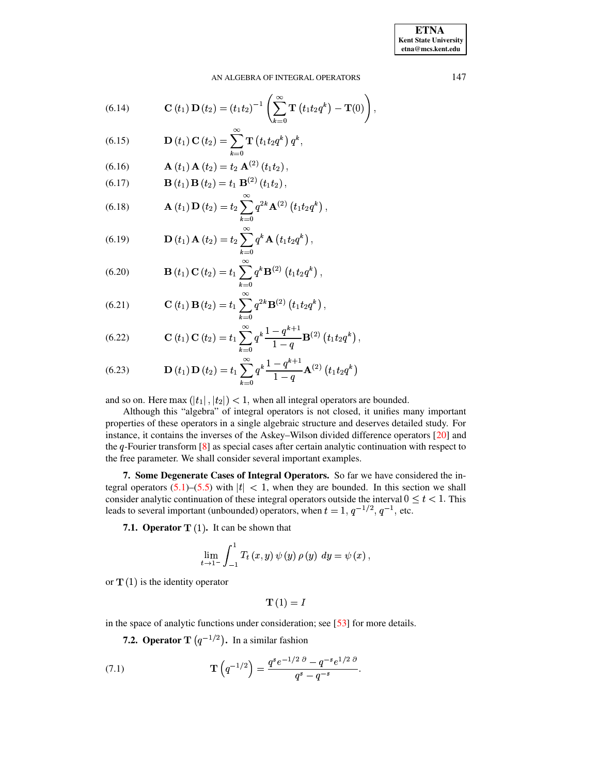**ETNA Kent State University**  $etna@mcs. kent.edu$ 

#### AN ALGEBRA OF INTEGRAL OPERATORS

<span id="page-7-6"></span>(6.14) 
$$
\mathbf{C}(t_1)\mathbf{D}(t_2) = (t_1t_2)^{-1}\left(\sum_{k=0}^{\infty}\mathbf{T}(t_1t_2q^k) - \mathbf{T}(0)\right),
$$

 $\infty$ 

<span id="page-7-8"></span>(6.15) 
$$
\mathbf{D}(t_1) \mathbf{C}(t_2) = \sum_{k=0}^{\infty} \mathbf{T}(t_1 t_2 q^k) q^k,
$$

<span id="page-7-0"></span>(6.16) 
$$
\mathbf{A}(t_1) \mathbf{A}(t_2) = t_2 \mathbf{A}^{(2)}(t_1 t_2)
$$

<span id="page-7-2"></span>(6.17) 
$$
\mathbf{B}(t_1) \mathbf{B}(t_2) = t_1 \mathbf{B}^{(2)}(t_1 t_2)
$$

<span id="page-7-1"></span>(6.18) 
$$
\mathbf{A}(t_1) \mathbf{D}(t_2) = t_2 \sum_{k=0}^{\infty} q^{2k} \mathbf{A}^{(2)} (t_1 t_2 q^k),
$$

<span id="page-7-7"></span>(6.19) 
$$
\mathbf{D}(t_1) \mathbf{A}(t_2) = t_2 \sum_{k=0}^{\infty} q^k \mathbf{A}(t_1 t_2 q^k),
$$

<span id="page-7-3"></span>(6.20) 
$$
\mathbf{B}(t_1) \mathbf{C}(t_2) = t_1 \sum_{k=0}^{\infty} q^k \mathbf{B}^{(2)}(t_1 t_2 q^k),
$$

<span id="page-7-4"></span>(6.21) 
$$
\mathbf{C}(t_1) \mathbf{B}(t_2) = t_1 \sum_{k=0}^{\infty} q^{2k} \mathbf{B}^{(2)}(t_1 t_2 q^k),
$$

<span id="page-7-5"></span>(6.22) 
$$
\mathbf{C}(t_1) \mathbf{C}(t_2) = t_1 \sum_{k=0}^{\infty} q^k \frac{1 - q^{k+1}}{1 - q} \mathbf{B}^{(2)}(t_1 t_2 q^k),
$$

<span id="page-7-9"></span>(6.23) 
$$
\mathbf{D}(t_1) \mathbf{D}(t_2) = t_1 \sum_{k=0}^{\infty} q^k \frac{1 - q^{k+1}}{1 - q} \mathbf{A}^{(2)}(t_1 t_2 q^k)
$$

and so on. Here  $\max(|t_1|, |t_2|) < 1$ , when all integral operators are bounded.

Although this "algebra" of integral operators is not closed, it unifies many important properties of these operators in a single algebraic structure and deserves detailed study. For instance, it contains the inverses of the Askey-Wilson divided difference operators [20] and the  $q$ -Fourier transform  $[8]$  as special cases after certain analytic continuation with respect to the free parameter. We shall consider several important examples.

7. Some Degenerate Cases of Integral Operators. So far we have considered the integral operators  $(5.1)$ – $(5.5)$  with  $|t| < 1$ , when they are bounded. In this section we shall consider analytic continuation of these integral operators outside the interval  $0 \le t < 1$ . This leads to several important (unbounded) operators, when  $t = 1$ ,  $q^{-1/2}$ ,  $q^{-1}$ , etc.

7.1. Operator  $T(1)$ . It can be shown that

$$
\lim_{t \to 1^{-}} \int_{-1}^{1} T_t(x, y) \psi(y) \rho(y) dy = \psi(x),
$$

or  $T(1)$  is the identity operator

<span id="page-7-10"></span>
$$
\mathbf{T}\left( 1\right) =I
$$

in the space of analytic functions under consideration; see  $[53]$  for more details.

**7.2. Operator T**  $(q^{-1/2})$ . In a similar fashion

(7.1) 
$$
\mathbf{T}\left(q^{-1/2}\right) = \frac{q^s e^{-1/2 \ \partial} - q^{-s} e^{1/2 \ \partial}}{q^s - q^{-s}}.
$$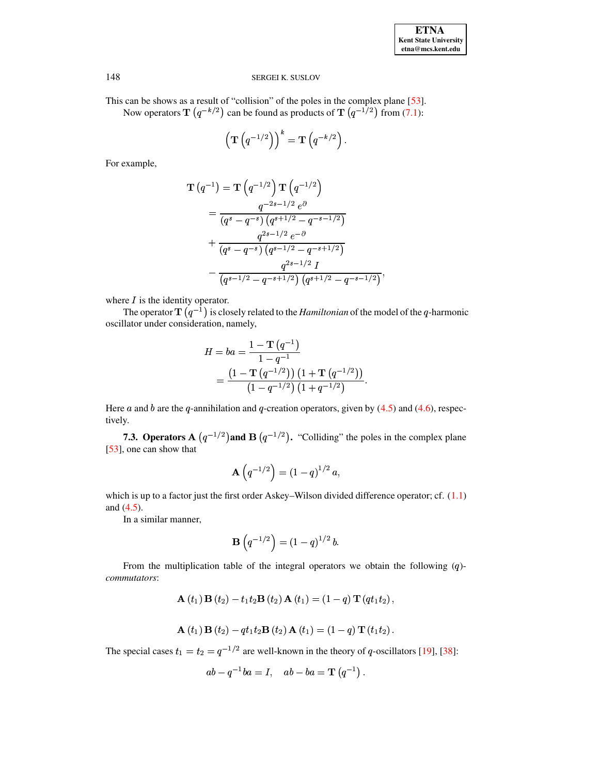This can be shows as a result of "collision" of the poles in the complex plane [53]. Now operators **T**  $(q^{-k/2})$  can be found as products of **T**  $(q^{-1/2})$  from (7.1):

$$
\left(\mathbf{T}\left(q^{-1/2}\right)\right)^k=\mathbf{T}\left(q^{-k/2}\right).
$$

For example,

$$
\mathbf{T} (q^{-1}) = \mathbf{T} (q^{-1/2}) \mathbf{T} (q^{-1/2})
$$
\n
$$
= \frac{q^{-2s-1/2} e^{\partial}}{(q^s - q^{-s}) (q^{s+1/2} - q^{-s-1/2})}
$$
\n
$$
+ \frac{q^{2s-1/2} e^{-\partial}}{(q^s - q^{-s}) (q^{s-1/2} - q^{-s+1/2})}
$$
\n
$$
- \frac{q^{2s-1/2} I}{(q^{s-1/2} - q^{-s+1/2}) (q^{s+1/2} - q^{-s-1/2})},
$$

where  $I$  is the identity operator.

The operator  $\mathbf{T}(q^{-1})$  is closely related to the *Hamiltonian* of the model of the *q*-harmonic oscillator under consideration, namely,

$$
H = ba = \frac{1 - \mathbf{T} (q^{-1})}{1 - q^{-1}}
$$
  
= 
$$
\frac{(1 - \mathbf{T} (q^{-1/2})) (1 + \mathbf{T} (q^{-1/2}))}{(1 - q^{-1/2}) (1 + q^{-1/2})}
$$

Here a and b are the q-annihilation and q-creation operators, given by  $(4.5)$  and  $(4.6)$ , respectively.

**7.3. Operators A**  $(q^{-1/2})$  and **B**  $(q^{-1/2})$ . "Colliding" the poles in the complex plane [53], one can show that

$$
\mathbf{A}\left(q^{-1/2}\right) = \left(1 - q\right)^{1/2} a,
$$

which is up to a factor just the first order Askey–Wilson divided difference operator; cf.  $(1.1)$ and  $(4.5)$ .

In a similar manner,

$$
\mathbf{B}\left(q^{-1/2}\right) = \left(1 - q\right)^{1/2} b.
$$

From the multiplication table of the integral operators we obtain the following  $(q)$ commutators:

$$
\mathbf{A}(t_1)\mathbf{B}(t_2)-t_1t_2\mathbf{B}(t_2)\mathbf{A}(t_1)=(1-q)\mathbf{T}(qt_1t_2),
$$

$$
\mathbf{A}(t_1)\mathbf{B}(t_2) - qt_1t_2\mathbf{B}(t_2)\mathbf{A}(t_1) = (1-q)\mathbf{T}(t_1t_2).
$$

The special cases  $t_1 = t_2 = q^{-1/2}$  are well-known in the theory of q-oscillators [19], [38]:

$$
ab - q^{-1}ba = I, \quad ab - ba = \mathbf{T} (q^{-1}).
$$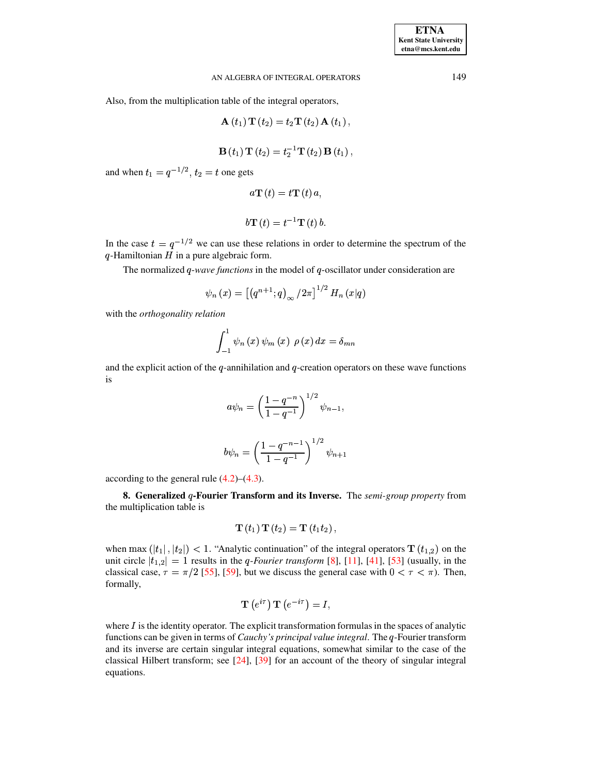Also, from the multiplication table of the integral operators,

$$
A (t1) T (t2) = t2T (t2) A (t1),
$$

$$
B(t1)T(t2) = t2-1T(t2)B(t1),
$$

and when  $t_1 = q^{-1/2}$ ,  $t_2 = t$  one gets

$$
a\mathbf{T}\left( t\right) =t\mathbf{T}\left( t\right) a,
$$

$$
b\mathbf{T}\left( t\right) =t^{-1}\mathbf{T}\left( t\right) b.
$$

In the case  $t = q^{-1/2}$  we can use these relations in order to determine the spectrum of the  $q$ -Hamiltonian  $H$  in a pure algebraic form.

The normalized  $q$ -wave functions in the model of  $q$ -oscillator under consideration are

$$
\psi_n(x) = [(q^{n+1}; q)_{\infty}/2\pi]^{1/2} H_n(x|q)
$$

with the *orthogonality relation* 

$$
\int_{-1}^{1} \psi_n(x) \psi_m(x) \rho(x) dx = \delta_{mn}
$$

and the explicit action of the q-annihilation and q-creation operators on these wave functions is

$$
a\psi_n = \left(\frac{1-q^{-n}}{1-q^{-1}}\right)^{1/2} \psi_{n-1},
$$
  

$$
b\psi_n = \left(\frac{1-q^{-n-1}}{1-q^{-1}}\right)^{1/2} \psi_{n+1}
$$

according to the general rule  $(4.2)$ – $(4.3)$ .

8. Generalized q-Fourier Transform and its Inverse. The semi-group property from the multiplication table is

$$
\mathbf{T}(t_1) \mathbf{T}(t_2) = \mathbf{T}(t_1 t_2),
$$

when max  $(|t_1|, |t_2|) < 1$ . "Analytic continuation" of the integral operators  $\mathbf{T}(t_{1,2})$  on the unit circle  $|t_{1,2}| = 1$  results in the *q-Fourier transform* [8], [11], [41], [53] (usually, in the classical case,  $\tau = \pi/2$  [55], [59], but we discuss the general case with  $0 < \tau < \pi$ ). Then, formally,

$$
{\bf T}\left(e^{i\tau}\right){\bf T}\left(e^{-i\tau}\right)=I,
$$

where  $I$  is the identity operator. The explicit transformation formulas in the spaces of analytic functions can be given in terms of *Cauchy's principal value integral*. The *q*-Fourier transform and its inverse are certain singular integral equations, somewhat similar to the case of the classical Hilbert transform; see  $[24]$ ,  $[39]$  for an account of the theory of singular integral equations.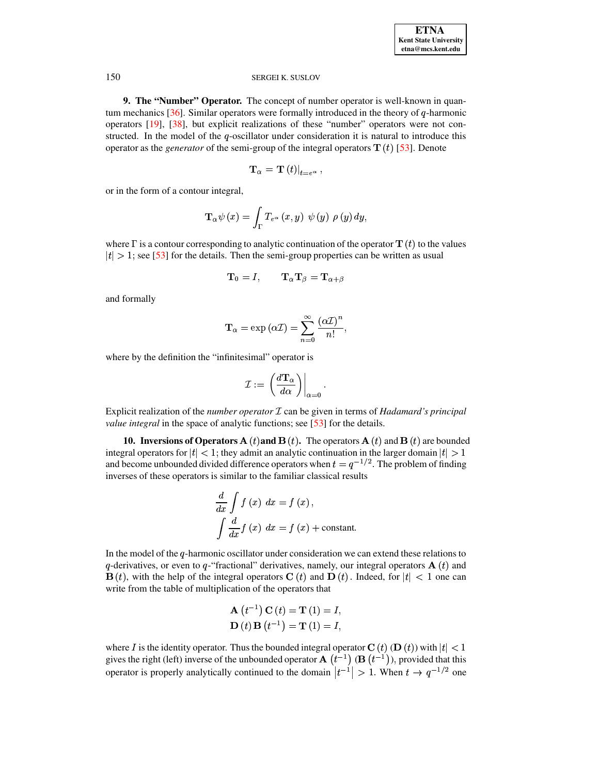**9. The "Number" Operator.** The concept of number operator is well-known in quantum mechanics  $[36]$ . Similar operators were formally introduced in the theory of q-harmonic operators [19], [38], but explicit realizations of these "number" operators were not constructed. In the model of the q-oscillator under consideration it is natural to introduce this operator as the *generator* of the semi-group of the integral operators  $\mathbf{T}(t)$  [53]. Denote

$$
\mathbf{T}_{\alpha}=\left. \mathbf{T}\left( t\right) \right\vert _{t=e^{\alpha}}
$$

or in the form of a contour integral,

$$
\mathbf{T}_{\alpha}\psi\left(x\right)=\int_{\Gamma}T_{e^{\alpha}}\left(x,y\right)\;\psi\left(y\right)\;\rho\left(y\right)dy,
$$

where  $\Gamma$  is a contour corresponding to analytic continuation of the operator  $\mathbf{T}(t)$  to the values  $|t| > 1$ ; see [53] for the details. Then the semi-group properties can be written as usual

$$
\mathbf{T}_0 = I, \qquad \mathbf{T}_{\alpha} \mathbf{T}_{\beta} = \mathbf{T}_{\alpha + \beta}
$$

and formally

$$
\mathbf{T}_{\alpha} = \exp(\alpha \mathcal{I}) = \sum_{n=0}^{\infty} \frac{(\alpha \mathcal{I})^n}{n!},
$$

where by the definition the "infinitesimal" operator is

$$
\mathcal{I} := \left. \left( \frac{d \mathbf{T}_{\alpha}}{d \alpha} \right) \right|_{\alpha = 0}.
$$

Explicit realization of the *number operator*  $I$  can be given in terms of *Hadamard's principal value integral* in the space of analytic functions; see [53] for the details.

**10. Inversions of Operators A** (*t*) and **B** (*t*). The operators **A** (*t*) and **B** (*t*) are bounded integral operators for  $|t| < 1$ ; they admit an analytic continuation in the larger domain  $|t| > 1$ and become unbounded divided difference operators when  $t = q^{-1/2}$ . The problem of finding inverses of these operators is similar to the familiar classical results

$$
\frac{d}{dx} \int f(x) dx = f(x),
$$
  

$$
\int \frac{d}{dx} f(x) dx = f(x) + \text{constant}.
$$

In the model of the  $q$ -harmonic oscillator under consideration we can extend these relations to q-derivatives, or even to q-"fractional" derivatives, namely, our integral operators  $A(t)$  and  $\mathbf{B}(t)$ , with the help of the integral operators  $\mathbf{C}(t)$  and  $\mathbf{D}(t)$ . Indeed, for  $|t| < 1$  one can write from the table of multiplication of the operators that

**A** 
$$
(t^{-1})
$$
 **C**  $(t) =$  **T**  $(1) = I$ ,  
**D**  $(t)$  **B**  $(t^{-1}) =$  **T**  $(1) = I$ ,

where I is the identity operator. Thus the bounded integral operator  $C(t)$  (D  $(t)$ ) with  $|t| < 1$ gives the right (left) inverse of the unbounded operator  $A(t^{-1})$  ( $B(t^{-1})$ ), provided that this operator is properly analytically continued to the domain  $|t^{-1}| > 1$ . When  $t \to q^{-1/2}$  one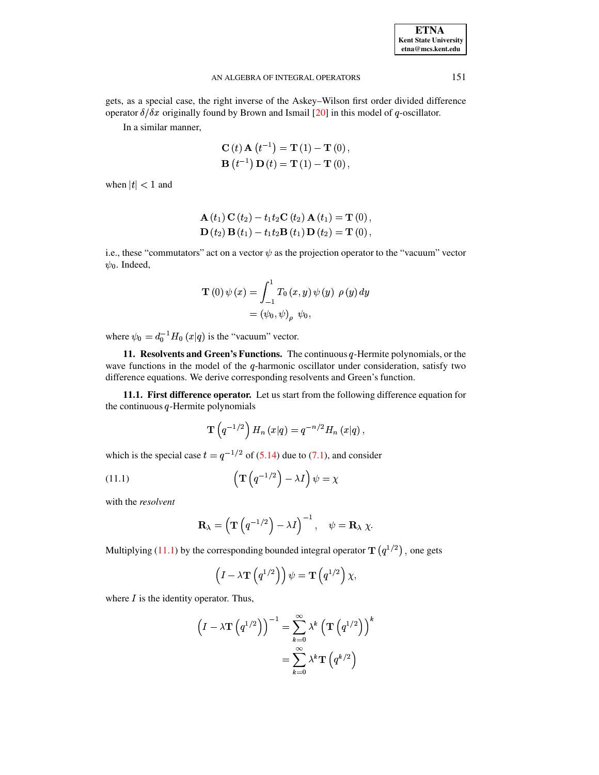| <b>ETNA</b>                  |
|------------------------------|
| <b>Kent State University</b> |
| etna@mcs.kent.edu            |

gets, as a special case, the right inverse of the Askey-Wilson first order divided difference operator  $\delta/\delta x$  originally found by Brown and Ismail [20] in this model of q-oscillator.

In a similar manner,

$$
C (t) A (t-1) = T (1) – T (0), \nB (t-1) D (t) = T (1) – T (0),
$$

when  $|t| < 1$  and

**A** 
$$
(t_1)
$$
 **C**  $(t_2)$  –  $t_1t_2$ **C**  $(t_2)$  **A**  $(t_1)$  = **T** (0),  
**D**  $(t_2)$  **B**  $(t_1)$  –  $t_1t_2$ **B**  $(t_1)$  **D**  $(t_2)$  = **T** (0),

i.e., these "commutators" act on a vector  $\psi$  as the projection operator to the "vacuum" vector  $\psi_0$ . Indeed,

$$
\mathbf{T}(0) \psi(x) = \int_{-1}^{1} T_0(x, y) \psi(y) \rho(y) dy
$$
  
=  $(\psi_0, \psi)_\rho \psi_0,$ 

where  $\psi_0 = d_0^{-1} H_0(x|q)$  is the "vacuum" vector.

11. Resolvents and Green's Functions. The continuous  $q$ -Hermite polynomials, or the wave functions in the model of the  $q$ -harmonic oscillator under consideration, satisfy two difference equations. We derive corresponding resolvents and Green's function.

11.1. First difference operator. Let us start from the following difference equation for the continuous  $q$ -Hermite polynomials

<span id="page-11-0"></span>
$$
\mathbf{T}\left(q^{-1/2}\right)H_n\left(x|q\right)=q^{-n/2}H_n\left(x|q\right),\,
$$

which is the special case  $t = q^{-1/2}$  of (5.14) due to (7.1), and consider

(11.1) 
$$
\left(\mathbf{T}\left(q^{-1/2}\right) - \lambda I\right)\psi = \chi
$$

with the resolvent

$$
\mathbf{R}_{\lambda} = \left(\mathbf{T}\left(q^{-1/2}\right) - \lambda I\right)^{-1}, \quad \psi = \mathbf{R}_{\lambda} \chi.
$$

Multiplying (11.1) by the corresponding bounded integral operator  $\mathbf{T}(q^{1/2})$ , one gets

$$
\left(I - \lambda \mathbf{T}\left(q^{1/2}\right)\right)\psi = \mathbf{T}\left(q^{1/2}\right)\chi,
$$

where  $I$  is the identity operator. Thus,

$$
\left(I - \lambda \mathbf{T} \left( q^{1/2} \right) \right)^{-1} = \sum_{k=0}^{\infty} \lambda^k \left( \mathbf{T} \left( q^{1/2} \right) \right)^k
$$

$$
= \sum_{k=0}^{\infty} \lambda^k \mathbf{T} \left( q^{k/2} \right)
$$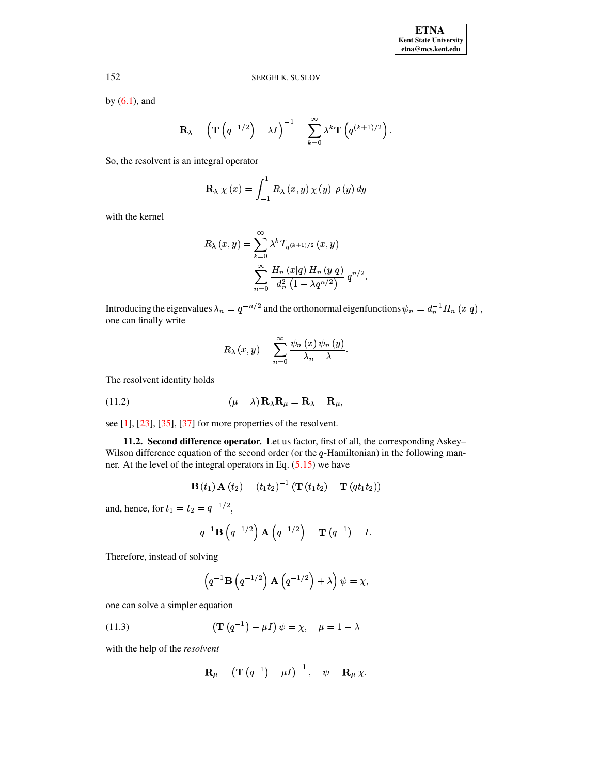by  $(6.1)$ , and

$$
\mathbf{R}_{\lambda} = \left(\mathbf{T}\left(q^{-1/2}\right) - \lambda I\right)^{-1} = \sum_{k=0}^{\infty} \lambda^k \mathbf{T}\left(q^{(k+1)/2}\right).
$$

So, the resolvent is an integral operator

$$
\mathbf{R}_{\lambda} \chi(x) = \int_{-1}^{1} R_{\lambda}(x, y) \chi(y) \rho(y) dy
$$

with the kernel

$$
R_{\lambda}(x, y) = \sum_{k=0}^{\infty} \lambda^{k} T_{q^{(k+1)/2}}(x, y)
$$
  
= 
$$
\sum_{n=0}^{\infty} \frac{H_{n}(x|q) H_{n}(y|q)}{d_{n}^{2}(1 - \lambda q^{n/2})} q^{n/2}
$$

Introducing the eigenvalues  $\lambda_n = q^{-n/2}$  and the orthonormal eigenfunctions  $\psi_n = d_n^{-1} H_n(x|q)$ , one can finally write

$$
R_{\lambda}(x, y) = \sum_{n=0}^{\infty} \frac{\psi_n(x) \psi_n(y)}{\lambda_n - \lambda}.
$$

<span id="page-12-1"></span>The resolvent identity holds

(11.2) 
$$
(\mu - \lambda) \mathbf{R}_{\lambda} \mathbf{R}_{\mu} = \mathbf{R}_{\lambda} - \mathbf{R}_{\mu},
$$

see  $[1]$ ,  $[23]$ ,  $[35]$ ,  $[37]$  for more properties of the resolvent.

11.2. Second difference operator. Let us factor, first of all, the corresponding Askey-Wilson difference equation of the second order (or the  $q$ -Hamiltonian) in the following manner. At the level of the integral operators in Eq.  $(5.15)$  we have

**B** 
$$
(t_1)
$$
 **A**  $(t_2) = (t_1 t_2)^{-1}$  (**T**  $(t_1 t_2)$  – **T**  $(qt_1 t_2)$ )

and, hence, for  $t_1 = t_2 = q^{-1/2}$ ,

$$
q^{-1} \mathbf{B}\left(q^{-1/2}\right) \mathbf{A}\left(q^{-1/2}\right) = \mathbf{T}\left(q^{-1}\right) - I.
$$

Therefore, instead of solving

<span id="page-12-0"></span>
$$
\left(q^{-1}\mathbf{B}\left(q^{-1/2}\right)\mathbf{A}\left(q^{-1/2}\right)+\lambda\right)\psi=\chi
$$

one can solve a simpler equation

(11.3) 
$$
\left(\mathbf{T}\left(q^{-1}\right) - \mu I\right)\psi = \chi, \quad \mu = 1 - \lambda
$$

with the help of the resolvent

$$
\mathbf{R}_{\mu} = \left(\mathbf{T}\left(q^{-1}\right) - \mu I\right)^{-1}, \quad \psi = \mathbf{R}_{\mu} \chi.
$$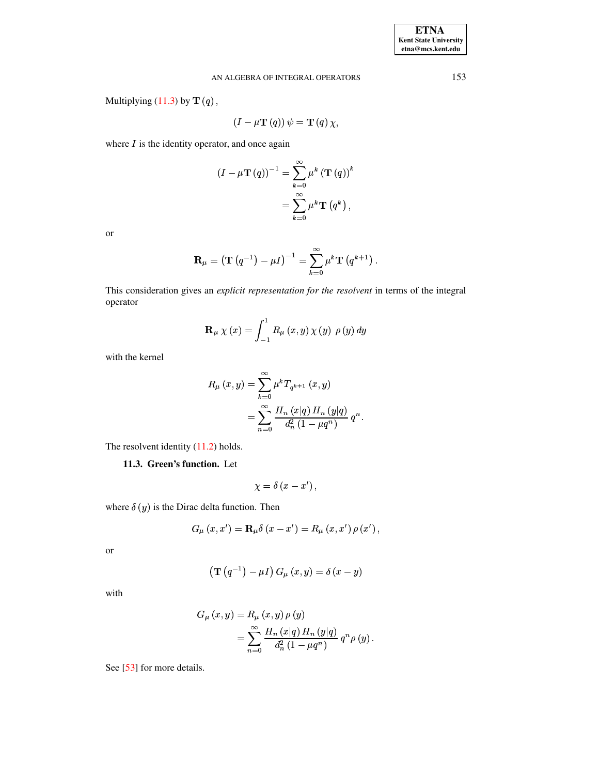Multiplying  $(11.3)$  by  $\mathbf{T}(q)$ ,

$$
(I - \mu \mathbf{T} (q)) \psi = \mathbf{T} (q) \chi,
$$

where  $I$  is the identity operator, and once again

$$
(I - \mu \mathbf{T} (q))^{-1} = \sum_{k=0}^{\infty} \mu^{k} (\mathbf{T} (q))^{k}
$$

$$
= \sum_{k=0}^{\infty} \mu^{k} \mathbf{T} (q^{k}),
$$

**or** 

$$
\mathbf{R}_{\mu} = \left(\mathbf{T}\left(q^{-1}\right) - \mu I\right)^{-1} = \sum_{k=0}^{\infty} \mu^k \mathbf{T}\left(q^{k+1}\right).
$$

This consideration gives an explicit representation for the resolvent in terms of the integral operator

$$
\mathbf{R}_{\mu} \chi(x) = \int_{-1}^{1} R_{\mu} (x, y) \chi(y) \rho(y) dy
$$

with the kernel

$$
R_{\mu}(x, y) = \sum_{k=0}^{\infty} \mu^{k} T_{q^{k+1}}(x, y)
$$
  
= 
$$
\sum_{n=0}^{\infty} \frac{H_{n}(x|q) H_{n}(y|q)}{d_{n}^{2} (1 - \mu q^{n})} q^{n}.
$$

The resolvent identity  $(11.2)$  holds.

11.3. Green's function. Let

$$
\chi = \delta\left(x - x'\right),
$$

where  $\delta(y)$  is the Dirac delta function. Then

$$
G_{\mu}(x, x') = \mathbf{R}_{\mu} \delta(x - x') = R_{\mu}(x, x') \rho(x') ,
$$

<sub>or</sub>

$$
\left(\mathbf{T}\left(q^{-1}\right)-\mu I\right)G_{\mu}\left(x,y\right)=\delta\left(x-y\right)
$$

with

$$
G_{\mu}(x, y) = R_{\mu}(x, y) \rho(y)
$$
  
= 
$$
\sum_{n=0}^{\infty} \frac{H_n(x|q) H_n(y|q)}{d_n^2 (1 - \mu q^n)} q^n \rho(y).
$$

See [53] for more details.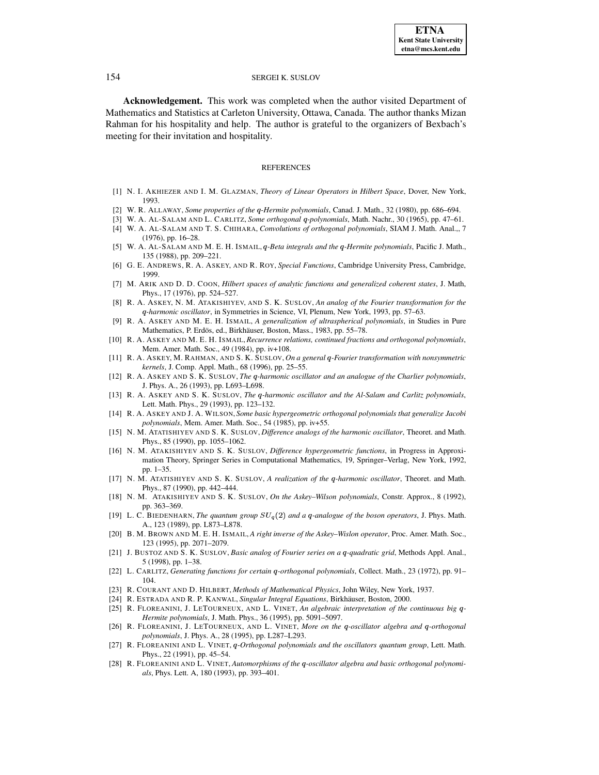**Acknowledgement.** This work was completed when the author visited Department of Mathematics and Statistics at Carleton University, Ottawa, Canada. The author thanks Mizan Rahman for his hospitality and help. The author is grateful to the organizers of Bexbach's meeting for their invitation and hospitality.

# REFERENCES

- <span id="page-14-24"></span><span id="page-14-3"></span>[1] N. I. AKHIEZER AND I. M. GLAZMAN, *Theory of Linear Operators in Hilbert Space*, Dover, New York, 1993.
- <span id="page-14-13"></span>[2] W. R. ALLAWAY, *Some properties of the q-Hermite polynomials*, Canad. J. Math., 32 (1980), pp. 686–694.
- [3] W. A. AL-SALAM AND L. CARLITZ, *Some orthogonal* -*-polynomials*, Math. Nachr., 30 (1965), pp. 47–61.
- <span id="page-14-8"></span><span id="page-14-4"></span>[4] W. A. AL-SALAM AND T. S. CHIHARA, *Convolutions of orthogonal polynomials*, SIAM J. Math. Anal.,, 7 (1976), pp. 16–28.
- [5] W. A. AL-SALAM AND M. E. H. ISMAIL, q-Beta integrals and the q-Hermite polynomials, Pacific J. Math., 135 (1988), pp. 209–221.
- <span id="page-14-11"></span>[6] G. E. ANDREWS, R. A. ASKEY, AND R. ROY, *Special Functions*, Cambridge University Press, Cambridge, 1999.
- <span id="page-14-14"></span><span id="page-14-1"></span>[7] M. ARIK AND D. D. COON, *Hilbert spaces of analytic functions and generalized coherent states*, J. Math, Phys., 17 (1976), pp. 524–527.
- [8] R. A. ASKEY, N. M. ATAKISHIYEV, AND S. K. SUSLOV, *An analog of the Fourier transformation for the* -*-harmonic oscillator*, in Symmetries in Science, VI, Plenum, New York, 1993, pp. 57–63.
- <span id="page-14-5"></span>[9] R. A. ASKEY AND M. E. H. ISMAIL, *A generalization of ultraspherical polynomials*, in Studies in Pure Mathematics, P. Erdös, ed., Birkhäuser, Boston, Mass., 1983, pp. 55–78.
- <span id="page-14-6"></span><span id="page-14-2"></span>[10] R. A. ASKEY AND M. E. H. ISMAIL,*Recurrence relations, continued fractions and orthogonal polynomials*, Mem. Amer. Math. Soc., 49 (1984), pp. iv+108.
- [11] R. A. ASKEY, M. RAHMAN, AND S. K. SUSLOV, *On a general* -*-Fourier transformation with nonsymmetric kernels*, J. Comp. Appl. Math., 68 (1996), pp. 25–55.
- <span id="page-14-16"></span>[12] R. A. ASKEY AND S. K. SUSLOV, *The* -*-harmonic oscillator and an analogue of the Charlier polynomials*, J. Phys. A., 26 (1993), pp. L693–L698.
- <span id="page-14-17"></span>[13] R. A. ASKEY AND S. K. SUSLOV, *The* -*-harmonic oscillator and the Al-Salam and Carlitz polynomials*, Lett. Math. Phys., 29 (1993), pp. 123–132.
- <span id="page-14-7"></span>[14] R. A. ASKEY AND J. A. WILSON, *Some basic hypergeometric orthogonal polynomials that generalize Jacobi polynomials*, Mem. Amer. Math. Soc., 54 (1985), pp. iv+55.
- <span id="page-14-23"></span>[15] N. M. ATATISHIYEV AND S. K. SUSLOV, *Difference analogs of the harmonic oscillator*, Theoret. and Math. Phys., 85 (1990), pp. 1055–1062.
- <span id="page-14-9"></span>[16] N. M. ATAKISHIYEV AND S. K. SUSLOV, *Difference hypergeometric functions*, in Progress in Approximation Theory, Springer Series in Computational Mathematics, 19, Springer–Verlag, New York, 1992, pp. 1–35.
- <span id="page-14-18"></span>[17] N. M. ATATISHIYEV AND S. K. SUSLOV, *A realization of the* -*-harmonic oscillator*, Theoret. and Math. Phys., 87 (1990), pp. 442–444.
- <span id="page-14-15"></span><span id="page-14-10"></span>[18] N. M. ATAKISHIYEV AND S. K. SUSLOV, *On the Askey–Wilson polynomials*, Constr. Approx., 8 (1992), pp. 363–369.
- [19] L. C. BIEDENHARN, *The quantum group*  $SU_q(2)$  *and a q-analogue of the boson operators*, J. Phys. Math. A., 123 (1989), pp. L873–L878.
- <span id="page-14-0"></span>[20] B. M. BROWN AND M. E. H. ISMAIL, *A right inverse of the Askey–Wislon operator*, Proc. Amer. Math. Soc., 123 (1995), pp. 2071–2079.
- [21] J. BUSTOZ AND S. K. SUSLOV, *Basic analog of Fourier series on a* -*-quadratic grid*, Methods Appl. Anal., 5 (1998), pp. 1–38.
- <span id="page-14-12"></span>[22] L. CARLITZ, *Generating functions for certain q-orthogonal polynomials*, Collect. Math., 23 (1972), pp. 91– 104.
- <span id="page-14-26"></span><span id="page-14-25"></span>[23] R. COURANT AND D. HILBERT, *Methods of Mathematical Physics*, John Wiley, New York, 1937.
- <span id="page-14-21"></span>[24] R. ESTRADA AND R. P. KANWAL, *Singular Integral Equations*, Birkhäuser, Boston, 2000.
- [25] R. FLOREANINI, J. LETOURNEUX, AND L. VINET, *An algebraic interpretation of the continuous big* -*- Hermite polynomials*, J. Math. Phys., 36 (1995), pp. 5091–5097.
- <span id="page-14-22"></span>[26] R. FLOREANINI, J. LETOURNEUX, AND L. VINET, More on the q-oscillator algebra and q-orthogonal *polynomials*, J. Phys. A., 28 (1995), pp. L287–L293.
- <span id="page-14-19"></span>[27] R. FLOREANINI AND L. VINET, q-Orthogonal polynomials and the oscillators quantum group, Lett. Math. Phys., 22 (1991), pp. 45–54.
- <span id="page-14-20"></span>[28] R. FLOREANINI AND L. VINET, *Automorphisms of the* -*-oscillator algebra and basic orthogonal polynomials*, Phys. Lett. A, 180 (1993), pp. 393–401.